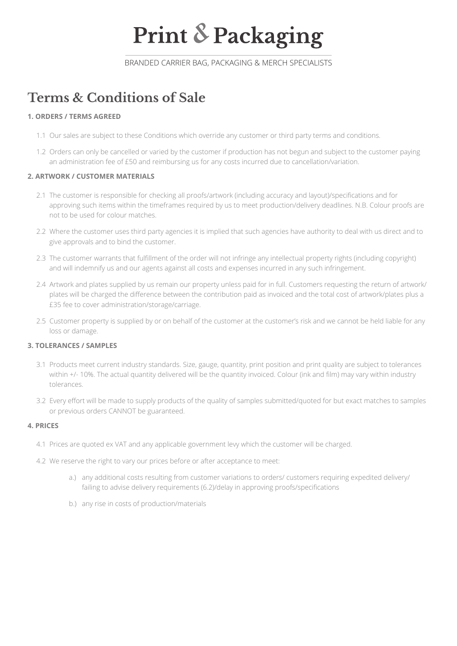# **Print & Packaging**

BRANDED CARRIER BAG, PACKAGING & MERCH SPECIALISTS

# **Terms & Conditions of Sale**

### **1. ORDERS / TERMS AGREED**

- 1.1 Our sales are subject to these Conditions which override any customer or third party terms and conditions.
- 1.2 Orders can only be cancelled or varied by the customer if production has not begun and subject to the customer paying an administration fee of £50 and reimbursing us for any costs incurred due to cancellation/variation.

# **2. ARTWORK / CUSTOMER MATERIALS**

- 2.1 The customer is responsible for checking all proofs/artwork (including accuracy and layout)/specifications and for approving such items within the timeframes required by us to meet production/delivery deadlines. N.B. Colour proofs are not to be used for colour matches.
- 2.2 Where the customer uses third party agencies it is implied that such agencies have authority to deal with us direct and to give approvals and to bind the customer.
- 2.3 The customer warrants that fulfillment of the order will not infringe any intellectual property rights (including copyright) and will indemnify us and our agents against all costs and expenses incurred in any such infringement.
- 2.4 Artwork and plates supplied by us remain our property unless paid for in full. Customers requesting the return of artwork/ plates will be charged the difference between the contribution paid as invoiced and the total cost of artwork/plates plus a £35 fee to cover administration/storage/carriage.
- 2.5 Customer property is supplied by or on behalf of the customer at the customer's risk and we cannot be held liable for any loss or damage.

### **3. TOLERANCES / SAMPLES**

- 3.1 Products meet current industry standards. Size, gauge, quantity, print position and print quality are subject to tolerances within +/- 10%. The actual quantity delivered will be the quantity invoiced. Colour (ink and film) may vary within industry tolerances.
- 3.2 Every effort will be made to supply products of the quality of samples submitted/quoted for but exact matches to samples or previous orders CANNOT be guaranteed.

### **4. PRICES**

- 4.1 Prices are quoted ex VAT and any applicable government levy which the customer will be charged.
- 4.2 We reserve the right to vary our prices before or after acceptance to meet:
	- a.) any additional costs resulting from customer variations to orders/ customers requiring expedited delivery/ failing to advise delivery requirements (6.2)/delay in approving proofs/specifications
	- b.) any rise in costs of production/materials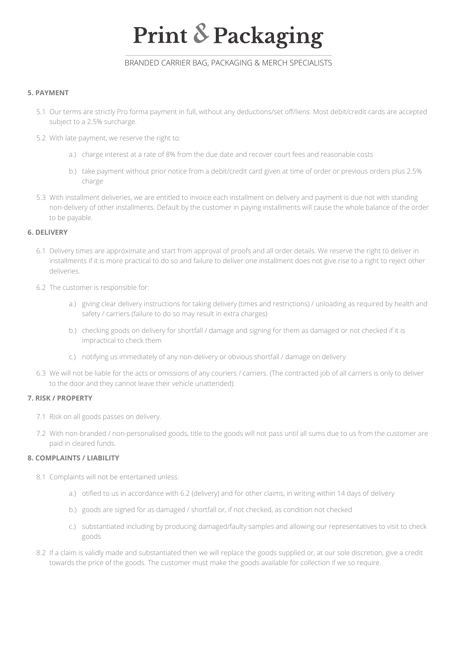# **Print & Packaging**

# BRANDED CARRIER BAG, PACKAGING & MERCH SPECIALISTS

#### **5. PAYMENT**

- 5.1 Our terms are strictly Pro forma payment in full, without any deductions/set off/liens. Most debit/credit cards are accepted subject to a 2.5% surcharge.
- 5.2 With late payment, we reserve the right to:
	- a.) charge interest at a rate of 8% from the due date and recover court fees and reasonable costs
	- b.) take payment without prior notice from a debit/credit card given at time of order or previous orders plus 2.5% charge
- 5.3 With installment deliveries, we are entitled to invoice each installment on delivery and payment is due not with standing non-delivery of other installments. Default by the customer in paying installments will cause the whole balance of the order to be payable.

#### **6. DELIVERY**

- 6.1 Delivery times are approximate and start from approval of proofs and all order details. We reserve the right to deliver in installments if it is more practical to do so and failure to deliver one installment does not give rise to a right to reject other deliveries.
- 6.2 The customer is responsible for:
	- a.) giving clear delivery instructions for taking delivery (times and restrictions) / unloading as required by health and safety / carriers (failure to do so may result in extra charges)
	- b.) checking goods on delivery for shortfall / damage and signing for them as damaged or not checked if it is impractical to check them
	- c.) notifying us immediately of any non-delivery or obvious shortfall / damage on delivery
- 6.3 We will not be liable for the acts or omissions of any couriers / carriers. (The contracted job of all carriers is only to deliver to the door and they cannot leave their vehicle unattended).

#### **7. RISK / PROPERTY**

- 7.1 Risk on all goods passes on delivery.
- 7.2 With non-branded / non-personalised goods, title to the goods will not pass until all sums due to us from the customer are paid in cleared funds.

#### **8. COMPLAINTS / LIABILITY**

- 8.1 Complaints will not be entertained unless:
	- a.) otified to us in accordance with 6.2 (delivery) and for other claims, in writing within 14 days of delivery
	- b.) goods are signed for as damaged / shortfall or, if not checked, as condition not checked
	- c.) substantiated including by producing damaged/faulty samples and allowing our representatives to visit to check goods
- 8.2 If a claim is validly made and substantiated then we will replace the goods supplied or, at our sole discretion, give a credit towards the price of the goods. The customer must make the goods available for collection if we so require.